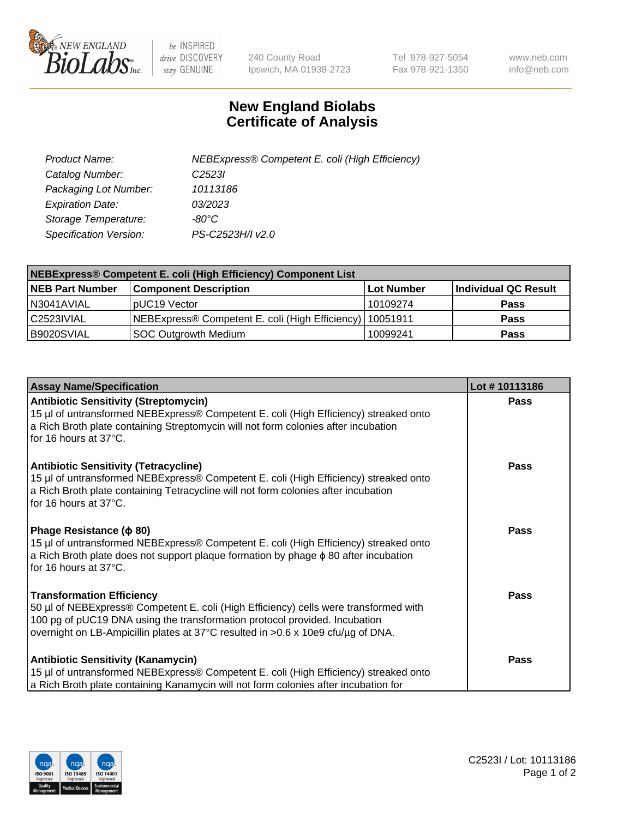

 $be$  INSPIRED drive DISCOVERY stay GENUINE

240 County Road Ipswich, MA 01938-2723 Tel 978-927-5054 Fax 978-921-1350 www.neb.com info@neb.com

## **New England Biolabs Certificate of Analysis**

| Product Name:           | NEBExpress® Competent E. coli (High Efficiency) |
|-------------------------|-------------------------------------------------|
| Catalog Number:         | C <sub>2523</sub>                               |
| Packaging Lot Number:   | 10113186                                        |
| <b>Expiration Date:</b> | 03/2023                                         |
| Storage Temperature:    | -80°C                                           |
| Specification Version:  | PS-C2523H/I v2.0                                |

| <b>NEBExpress® Competent E. coli (High Efficiency) Component List</b> |                                                            |            |                      |  |
|-----------------------------------------------------------------------|------------------------------------------------------------|------------|----------------------|--|
| <b>NEB Part Number</b>                                                | <b>Component Description</b>                               | Lot Number | Individual QC Result |  |
| N3041AVIAL                                                            | pUC19 Vector                                               | 10109274   | <b>Pass</b>          |  |
| C2523IVIAL                                                            | NEBExpress® Competent E. coli (High Efficiency)   10051911 |            | <b>Pass</b>          |  |
| B9020SVIAL                                                            | <b>SOC Outgrowth Medium</b>                                | 10099241   | <b>Pass</b>          |  |

| <b>Assay Name/Specification</b>                                                                                                                                                                                                                                                            | Lot #10113186 |
|--------------------------------------------------------------------------------------------------------------------------------------------------------------------------------------------------------------------------------------------------------------------------------------------|---------------|
| <b>Antibiotic Sensitivity (Streptomycin)</b><br>15 µl of untransformed NEBExpress® Competent E. coli (High Efficiency) streaked onto<br>a Rich Broth plate containing Streptomycin will not form colonies after incubation<br>for 16 hours at 37°C.                                        | <b>Pass</b>   |
| <b>Antibiotic Sensitivity (Tetracycline)</b><br>15 µl of untransformed NEBExpress® Competent E. coli (High Efficiency) streaked onto<br>a Rich Broth plate containing Tetracycline will not form colonies after incubation<br>for 16 hours at 37°C.                                        | Pass          |
| Phage Resistance ( $\phi$ 80)<br>15 µl of untransformed NEBExpress® Competent E. coli (High Efficiency) streaked onto<br>a Rich Broth plate does not support plaque formation by phage $\phi$ 80 after incubation<br>for 16 hours at 37°C.                                                 | Pass          |
| <b>Transformation Efficiency</b><br>50 µl of NEBExpress® Competent E. coli (High Efficiency) cells were transformed with<br>100 pg of pUC19 DNA using the transformation protocol provided. Incubation<br>overnight on LB-Ampicillin plates at 37°C resulted in >0.6 x 10e9 cfu/µg of DNA. | <b>Pass</b>   |
| <b>Antibiotic Sensitivity (Kanamycin)</b><br>15 µl of untransformed NEBExpress® Competent E. coli (High Efficiency) streaked onto<br>a Rich Broth plate containing Kanamycin will not form colonies after incubation for                                                                   | <b>Pass</b>   |